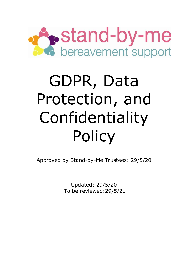

# GDPR, Data Protection, and Confidentiality Policy

Approved by Stand-by-Me Trustees: 29/5/20

Updated: 29/5/20 To be reviewed:29/5/21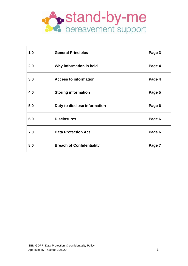

| 1.0 | <b>General Principles</b>        | Page 3 |
|-----|----------------------------------|--------|
| 2.0 | Why information is held          | Page 4 |
| 3.0 | <b>Access to information</b>     | Page 4 |
| 4.0 | <b>Storing information</b>       | Page 5 |
| 5.0 | Duty to disclose information     | Page 6 |
| 6.0 | <b>Disclosures</b>               | Page 6 |
| 7.0 | <b>Data Protection Act</b>       | Page 6 |
| 8.0 | <b>Breach of Confidentiality</b> | Page 7 |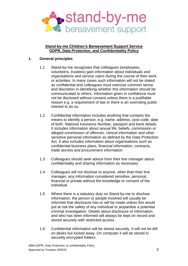

#### **Stand-by-me Children's Bereavement Support Service GDPR, Data Protection, and Confidentiality Policy**

## **1. General principles**

- 1.1 Stand-by-me recognises that colleagues (employees, volunteers, trustees) gain information about individuals and organisations and service users during the course of their work or activities. In many cases such information will not be stated as confidential and colleagues must exercise common sense and discretion in identifying whether this information should be communicated to others. Information given in confidence must not be disclosed without consent unless there is a justifiable reason e.g. a requirement of law or there is an overriding public interest to do so.
- 1.2 Confidential information includes anything that contains the means to identify a person, e.g. name, address, post code, date of birth, National Insurance Number, passport and bank details. It includes information about sexual life, beliefs, commission or alleged commission of offences, clinical information and other sensitive personal information as defined by the Data Protection Act. It also includes information about organisations such as confidential business plans, financial information, contracts, trade secrets and procurement information
- 1.3 Colleagues should seek advice from their line manager about confidentiality and sharing information as necessary
- 1.4 Colleagues will not disclose to anyone, other than their line manager, any information considered sensitive, personal, financial or private without the knowledge or consent of the individual.
- 1.5 Where there is a statutory duty on Stand-by-me to disclose information, the person or people involved will usually be informed that disclosure has or will be made unless this would put at risk the safety of any individual or jeopardise a potential criminal investigation. Details about disclosure of information and who has been informed will always be kept on record and stored securely with restricted access.
- 1.6 Confidential information will be stored securely. It will not be left on desks but locked away. On computer it will be stored in securely encrypted folders.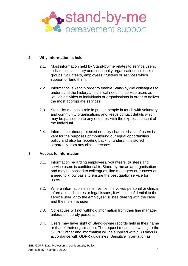

## **2. Why information is held**

- 2.1. Most information held by Stand-by-me relates to service users, individuals, voluntary and community organisations, self-help groups, volunteers, employees, trustees or services which support or fund them.
- 2.2. Information is kept in order to enable Stand-by-me colleagues to understand the history and clinical needs of service users as well as activities of individuals or organisations in order to deliver the most appropriate services.
- 2.3. Stand-by-me has a role in putting people in touch with voluntary and community organisations and keeps contact details which may be passed on to any enquirer, with the express consent of the individual.
- 2.4. Information about protected equality characteristics of users is kept for the purposes of monitoring our equal opportunities policy and also for reporting back to funders. It is stored separately from any clinical records.

#### **3. Access to information**

- 3.1. Information regarding employees, volunteers, trustees and service users is confidential to Stand-by-me as an organisation and may be passed to colleagues, line managers or trustees on a need to know basis to ensure the best quality service for users.
- 3.2. Where information is sensitive, i.e. it involves personal or clinical information, disputes or legal issues, it will be confidential to the service user, or to the employee/Trustee dealing with the case and their line manager.
- 3.3. Colleagues will not withhold information from their line manager unless it is purely personal.
- 3.4. Users may have sight of Stand-by-me records held in their name or that of their organisation. The request must be in writing to the GDPR Officer and information will be supplied within 30 days in accordance with GDPR guidelines. Sensitive information as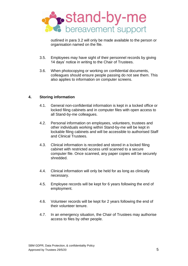

outlined in para 3.2 will only be made available to the person or organisation named on the file.

- 3.5. Employees may have sight of their personnel records by giving 14 days' notice in writing to the Chair of Trustees.
- 3.6. When photocopying or working on confidential documents, colleagues should ensure people passing do not see them. This also applies to information on computer screens.

## **4. Storing information**

- 4.1. General non-confidential information is kept in a locked office or locked filing cabinets and in computer files with open access to all Stand-by-me colleagues.
- 4.2. Personal information on employees, volunteers, trustees and other individuals working within Stand-by-me will be kept in lockable filing cabinets and will be accessible to authorised Staff and Clinical Trustees.
- 4.3. Clinical information is recorded and stored in a locked filing cabinet with restricted access until scanned to a secure computer file. Once scanned, any paper copies will be securely shredded.
- 4.4. Clinical information will only be held for as long as clinically necessary.
- 4.5. Employee records will be kept for 6 years following the end of employment.
- 4.6. Volunteer records will be kept for 2 years following the end of their volunteer tenure.
- 4.7. In an emergency situation, the Chair of Trustees may authorise access to files by other people.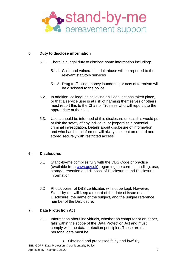

# **5. Duty to disclose information**

- 5.1. There is a legal duty to disclose some information including:
	- 5.1.1. Child and vulnerable adult abuse will be reported to the relevant statutory services
	- 5.1.2. Drug trafficking, money laundering or acts of terrorism will be disclosed to the police.
- 5.2. In addition, colleagues believing an illegal act has taken place, or that a service user is at risk of harming themselves or others, must report this to the Chair of Trustees who will report it to the appropriate authorities.
- 5.3. Users should be informed of this disclosure unless this would put at risk the safety of any individual or jeopardise a potential criminal investigation. Details about disclosure of information and who has been informed will always be kept on record and stored securely with restricted access

## **6. Disclosures**

- 6.1 Stand-by-me complies fully with the DBS Code of practice (available from [www.gov.uk\)](http://www.gov.uk/) regarding the correct handling, use, storage, retention and disposal of Disclosures and Disclosure information.
- 6.2 Photocopies of DBS certificates will not be kept. However, Stand-by-me will keep a record of the date of issue of a Disclosure, the name of the subject, and the unique reference number of the Disclosure.

## **7. Data Protection Act**

- 7.1. Information about individuals, whether on computer or on paper, falls within the scope of the Data Protection Act and must comply with the data protection principles. These are that personal data must be:
	- Obtained and processed fairly and lawfully.